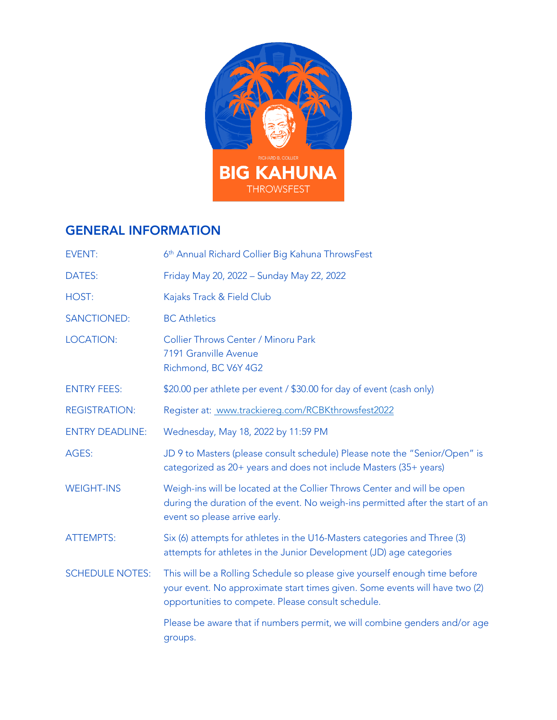

#### GENERAL INFORMATION

| <b>EVENT:</b>          | 6 <sup>th</sup> Annual Richard Collier Big Kahuna ThrowsFest                                                                                                                                                    |  |  |
|------------------------|-----------------------------------------------------------------------------------------------------------------------------------------------------------------------------------------------------------------|--|--|
| DATES:                 | Friday May 20, 2022 - Sunday May 22, 2022                                                                                                                                                                       |  |  |
| HOST:                  | Kajaks Track & Field Club                                                                                                                                                                                       |  |  |
| <b>SANCTIONED:</b>     | <b>BC</b> Athletics                                                                                                                                                                                             |  |  |
| <b>LOCATION:</b>       | Collier Throws Center / Minoru Park<br>7191 Granville Avenue<br>Richmond, BC V6Y 4G2                                                                                                                            |  |  |
| <b>ENTRY FEES:</b>     | \$20.00 per athlete per event / \$30.00 for day of event (cash only)                                                                                                                                            |  |  |
| <b>REGISTRATION:</b>   | Register at: www.trackiereg.com/RCBKthrowsfest2022                                                                                                                                                              |  |  |
| <b>ENTRY DEADLINE:</b> | Wednesday, May 18, 2022 by 11:59 PM                                                                                                                                                                             |  |  |
| AGES:                  | JD 9 to Masters (please consult schedule) Please note the "Senior/Open" is<br>categorized as 20+ years and does not include Masters (35+ years)                                                                 |  |  |
| <b>WEIGHT-INS</b>      | Weigh-ins will be located at the Collier Throws Center and will be open<br>during the duration of the event. No weigh-ins permitted after the start of an<br>event so please arrive early.                      |  |  |
| <b>ATTEMPTS:</b>       | Six (6) attempts for athletes in the U16-Masters categories and Three (3)<br>attempts for athletes in the Junior Development (JD) age categories                                                                |  |  |
| <b>SCHEDULE NOTES:</b> | This will be a Rolling Schedule so please give yourself enough time before<br>your event. No approximate start times given. Some events will have two (2)<br>opportunities to compete. Please consult schedule. |  |  |
|                        | Please be aware that if numbers permit, we will combine genders and/or age<br>groups.                                                                                                                           |  |  |